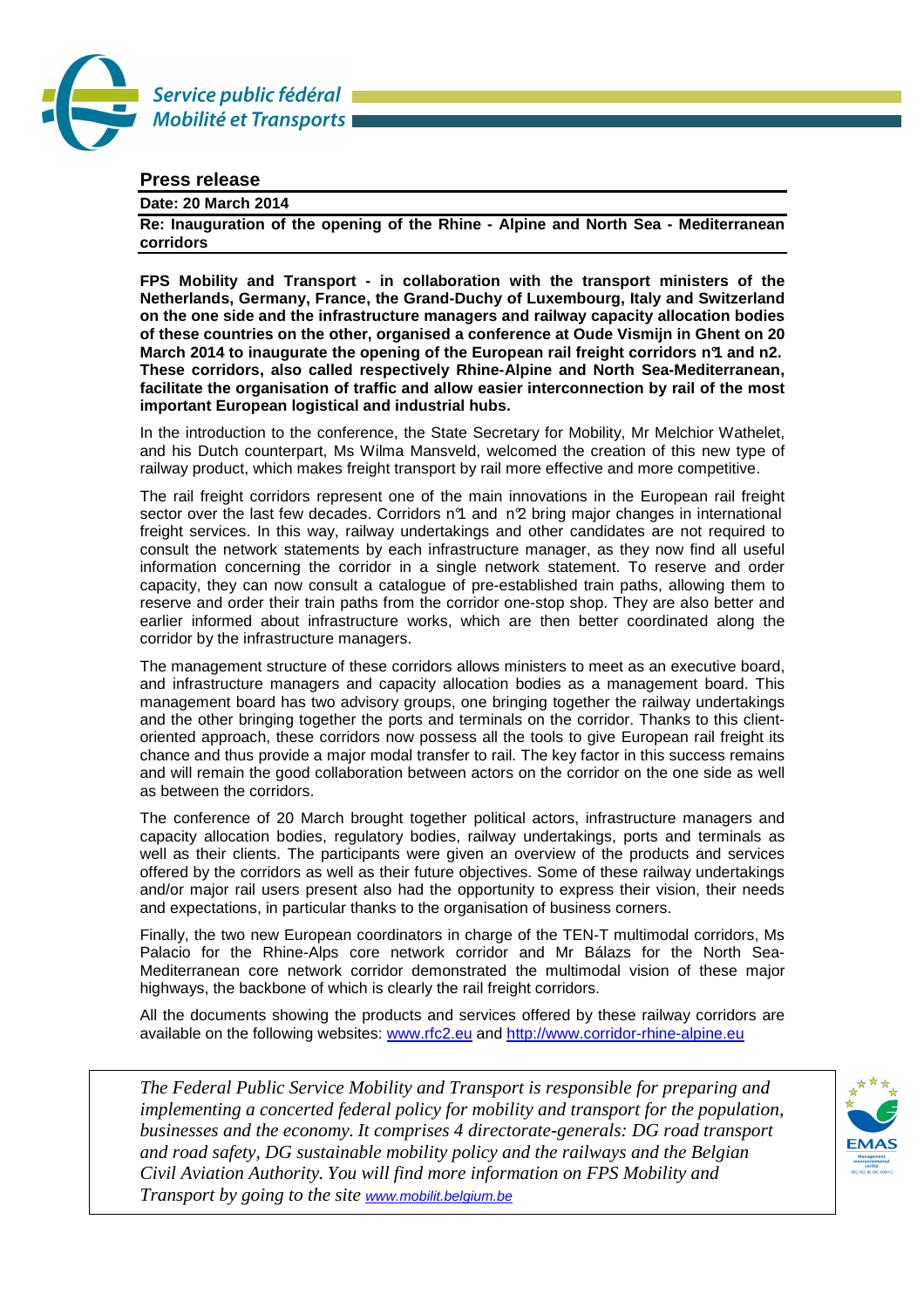

## **Press release**

## **Date: 20 March 2014**

**Re: Inauguration of the opening of the Rhine - Alpine and North Sea - Mediterranean corridors** 

**FPS Mobility and Transport - in collaboration with the transport ministers of the Netherlands, Germany, France, the Grand-Duchy of Luxembourg, Italy and Switzerland on the one side and the infrastructure managers and railway capacity allocation bodies of these countries on the other, organised a conference at Oude Vismijn in Ghent on 20 March 2014 to inaugurate the opening of the European rail freight corridors n°1 and n2. These corridors, also called respectively Rhine-Alpine and North Sea-Mediterranean, facilitate the organisation of traffic and allow easier interconnection by rail of the most important European logistical and industrial hubs.** 

In the introduction to the conference, the State Secretary for Mobility, Mr Melchior Wathelet, and his Dutch counterpart, Ms Wilma Mansveld, welcomed the creation of this new type of railway product, which makes freight transport by rail more effective and more competitive.

The rail freight corridors represent one of the main innovations in the European rail freight sector over the last few decades. Corridors n<sup>o</sup>1 and n<sup>o</sup>2 bring major changes in international freight services. In this way, railway undertakings and other candidates are not required to consult the network statements by each infrastructure manager, as they now find all useful information concerning the corridor in a single network statement. To reserve and order capacity, they can now consult a catalogue of pre-established train paths, allowing them to reserve and order their train paths from the corridor one-stop shop. They are also better and earlier informed about infrastructure works, which are then better coordinated along the corridor by the infrastructure managers.

The management structure of these corridors allows ministers to meet as an executive board, and infrastructure managers and capacity allocation bodies as a management board. This management board has two advisory groups, one bringing together the railway undertakings and the other bringing together the ports and terminals on the corridor. Thanks to this clientoriented approach, these corridors now possess all the tools to give European rail freight its chance and thus provide a major modal transfer to rail. The key factor in this success remains and will remain the good collaboration between actors on the corridor on the one side as well as between the corridors.

The conference of 20 March brought together political actors, infrastructure managers and capacity allocation bodies, regulatory bodies, railway undertakings, ports and terminals as well as their clients. The participants were given an overview of the products and services offered by the corridors as well as their future objectives. Some of these railway undertakings and/or major rail users present also had the opportunity to express their vision, their needs and expectations, in particular thanks to the organisation of business corners.

Finally, the two new European coordinators in charge of the TEN-T multimodal corridors, Ms Palacio for the Rhine-Alps core network corridor and Mr Bálazs for the North Sea-Mediterranean core network corridor demonstrated the multimodal vision of these major highways, the backbone of which is clearly the rail freight corridors.

All the documents showing the products and services offered by these railway corridors are available on the following websites: www.rfc2.eu and http://www.corridor-rhine-alpine.eu

*The Federal Public Service Mobility and Transport is responsible for preparing and implementing a concerted federal policy for mobility and transport for the population, businesses and the economy. It comprises 4 directorate-generals: DG road transport and road safety, DG sustainable mobility policy and the railways and the Belgian Civil Aviation Authority. You will find more information on FPS Mobility and Transport by going to the site* www.mobilit.belgium.be